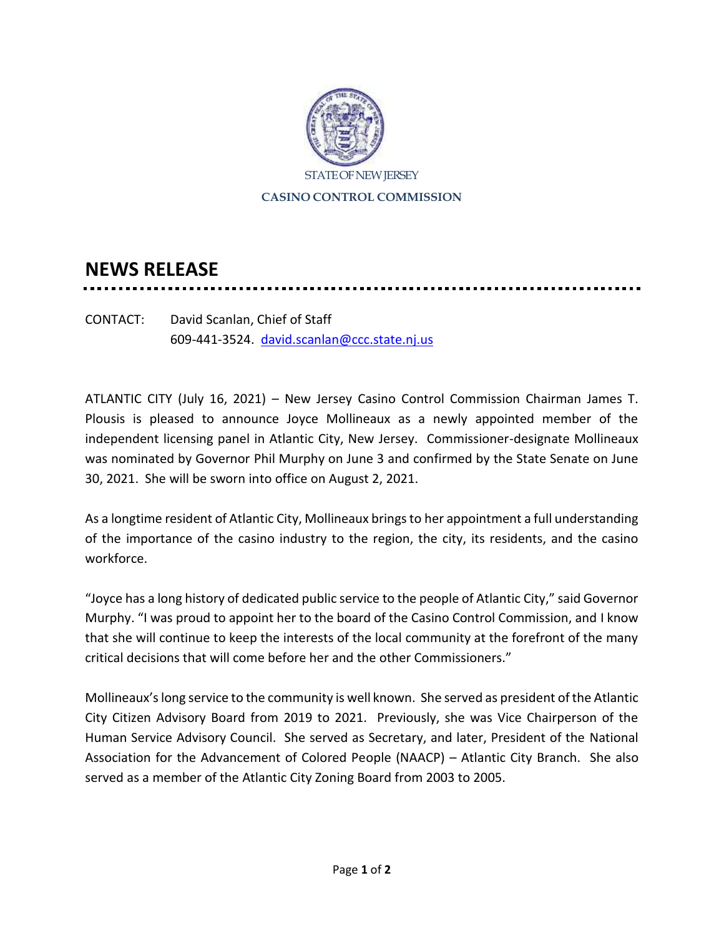

## **NEWS RELEASE**

CONTACT: David Scanlan, Chief of Staff 609-441-3524. [david.scanlan@ccc.state.nj.us](mailto:david.scanlan@ccc.state.nj.us)

ATLANTIC CITY (July 16, 2021) – New Jersey Casino Control Commission Chairman James T. Plousis is pleased to announce Joyce Mollineaux as a newly appointed member of the independent licensing panel in Atlantic City, New Jersey. Commissioner-designate Mollineaux was nominated by Governor Phil Murphy on June 3 and confirmed by the State Senate on June 30, 2021. She will be sworn into office on August 2, 2021.

As a longtime resident of Atlantic City, Mollineaux brings to her appointment a full understanding of the importance of the casino industry to the region, the city, its residents, and the casino workforce.

"Joyce has a long history of dedicated public service to the people of Atlantic City," said Governor Murphy. "I was proud to appoint her to the board of the Casino Control Commission, and I know that she will continue to keep the interests of the local community at the forefront of the many critical decisions that will come before her and the other Commissioners."

Mollineaux's long service to the community is well known. She served as president of the Atlantic City Citizen Advisory Board from 2019 to 2021. Previously, she was Vice Chairperson of the Human Service Advisory Council. She served as Secretary, and later, President of the National Association for the Advancement of Colored People (NAACP) – Atlantic City Branch. She also served as a member of the Atlantic City Zoning Board from 2003 to 2005.